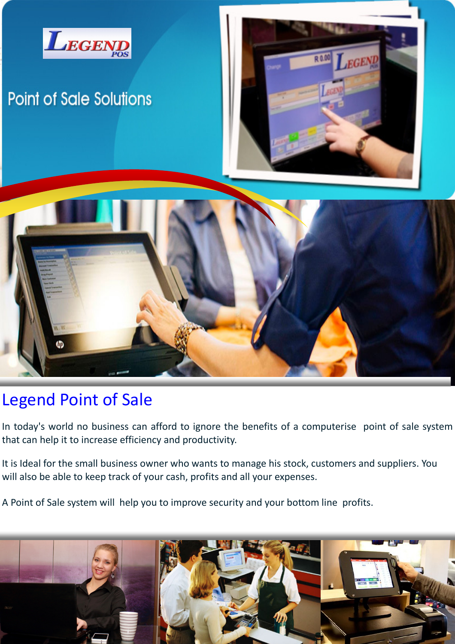

# **Point of Sale Solutions**





#### Legend Point of Sale

In today's world no business can afford to ignore the benefits of a computerise point of sale system that can help it to increase efficiency and productivity.

It is Ideal for the small business owner who wants to manage his stock, customers and suppliers. You will also be able to keep track of your cash, profits and all your expenses.

A Point of Sale system will help you to improve security and your bottom line profits.